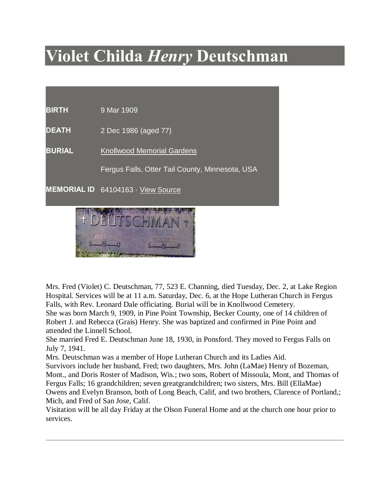## **Violet Childa** *Henry* **Deutschman**

**BIRTH** 9 Mar 1909

**DEATH** 2 Dec 1986 (aged 77)

**BURIAL** Knollwood Memorial Gardens

Fergus Falls, Otter Tail County, Minnesota, USA

2 Dec 1986 (aged

77)

**MEMORIAL ID** 64104163 · View Source



Mrs. Fred (Violet) C. Deutschman, 77, 523 E. Channing, died Tuesday, Dec. 2, at Lake Region Hospital. Services will be at 11 a.m. Saturday, Dec. 6, at the Hope Lutheran Church in Fergus Falls, with Rev. Leonard Dale officiating. Burial will be in Knollwood Cemetery.

She was born March 9, 1909, in Pine Point Township, Becker County, one of 14 children of Robert J. and Rebecca (Grais) Henry. She was baptized and confirmed in Pine Point and attended the Linnell School.

She married Fred E. Deutschman June 18, 1930, in Ponsford. They moved to Fergus Falls on July 7, 1941.

Mrs. Deutschman was a member of Hope Lutheran Church and its Ladies Aid.

Survivors include her husband, Fred; two daughters, Mrs. John (LaMae) Henry of Bozeman, Mont., and Doris Roster of Madison, Wis.; two sons, Robert of Missoula, Mont, and Thomas of Fergus Falls; 16 grandchildren; seven greatgrandchildren; two sisters, Mrs. Bill (EllaMae) Owens and Evelyn Branson, both of Long Beach, Calif, and two brothers, Clarence of Portland,; Mich, and Fred of San Jose, Calif.

Visitation will be all day Friday at the Olson Funeral Home and at the church one hour prior to services.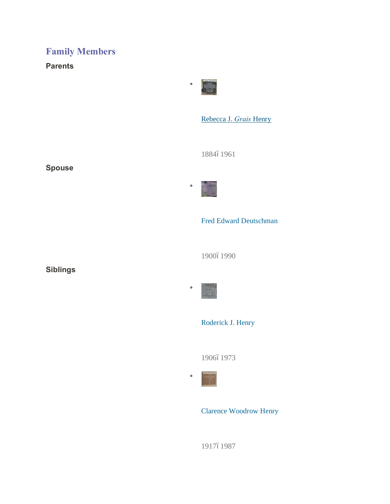## **Family Members**

**Parents**